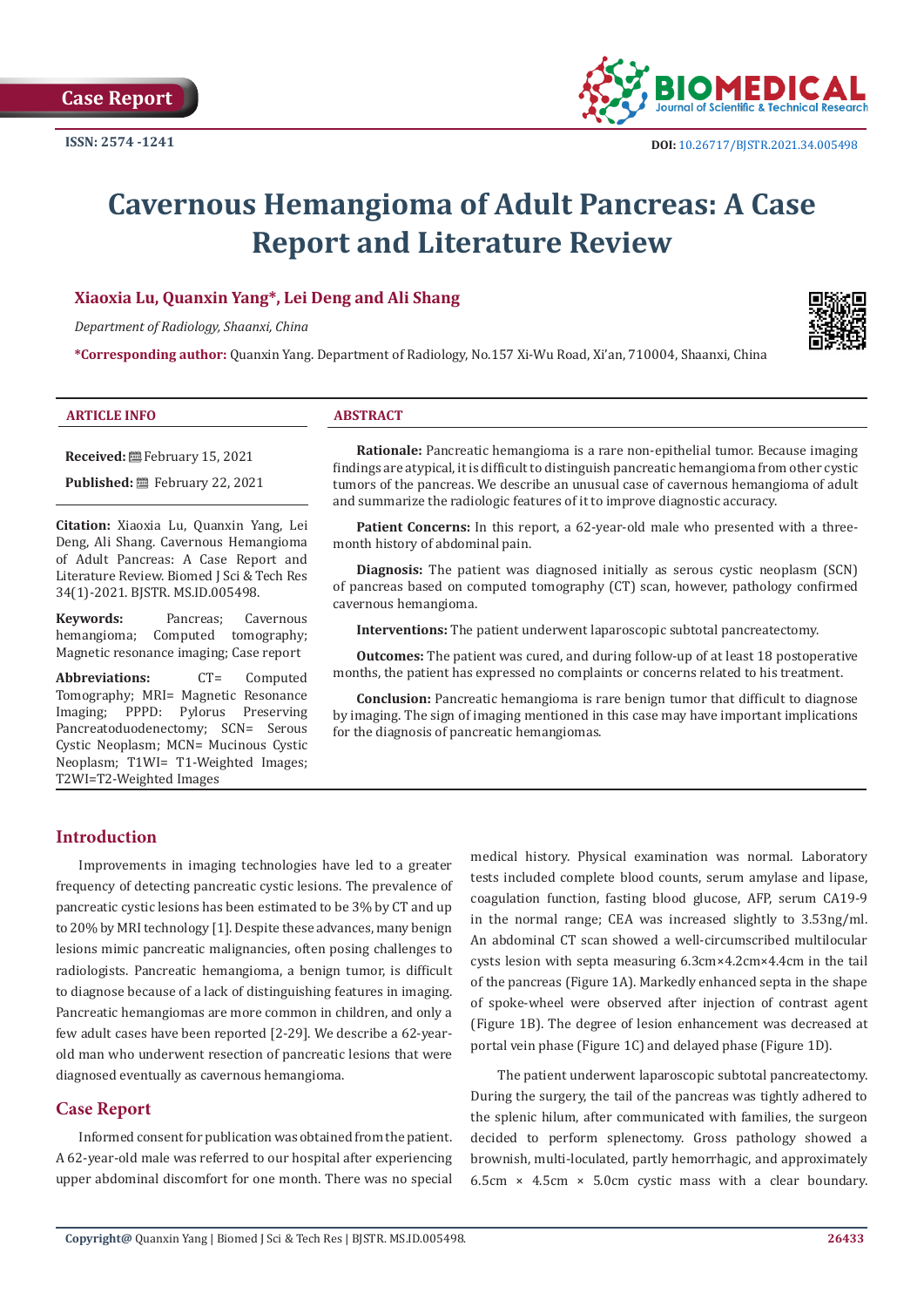

# **Cavernous Hemangioma of Adult Pancreas: A Case Report and Literature Review**

# **Xiaoxia Lu, Quanxin Yang\*, Lei Deng and Ali Shang**

*Department of Radiology, Shaanxi, China*

**\*Corresponding author:** Quanxin Yang. Department of Radiology, No.157 Xi-Wu Road, Xi'an, 710004, Shaanxi, China

#### **ARTICLE INFO ABSTRACT**

**Received:** February 15, 2021 **Published:** February 22, 2021

**Citation:** Xiaoxia Lu, Quanxin Yang, Lei Deng, Ali Shang. Cavernous Hemangioma of Adult Pancreas: A Case Report and Literature Review. Biomed J Sci & Tech Res 34(1)-2021. BJSTR. MS.ID.005498.

**Keywords:** Pancreas; Cavernous hemangioma; Computed tomography;

Magnetic resonance imaging; Case report Abbreviations: CT= Computed Tomography; MRI= Magnetic Resonance Imaging; PPPD: Pylorus Preserving Pancreatoduodenectomy; SCN= Serous Cystic Neoplasm; MCN= Mucinous Cystic Neoplasm; T1WI= T1-Weighted Images;

Computed tomography;

**Rationale:** Pancreatic hemangioma is a rare non-epithelial tumor. Because imaging findings are atypical, it is difficult to distinguish pancreatic hemangioma from other cystic tumors of the pancreas. We describe an unusual case of cavernous hemangioma of adult and summarize the radiologic features of it to improve diagnostic accuracy.

**Patient Concerns:** In this report, a 62-year-old male who presented with a threemonth history of abdominal pain.

**Diagnosis:** The patient was diagnosed initially as serous cystic neoplasm (SCN) of pancreas based on computed tomography (CT) scan, however, pathology confirmed cavernous hemangioma.

**Interventions:** The patient underwent laparoscopic subtotal pancreatectomy.

**Outcomes:** The patient was cured, and during follow-up of at least 18 postoperative months, the patient has expressed no complaints or concerns related to his treatment.

**Conclusion:** Pancreatic hemangioma is rare benign tumor that difficult to diagnose by imaging. The sign of imaging mentioned in this case may have important implications for the diagnosis of pancreatic hemangiomas.

#### **Introduction**

T2WI=T2-Weighted Images

Improvements in imaging technologies have led to a greater frequency of detecting pancreatic cystic lesions. The prevalence of pancreatic cystic lesions has been estimated to be 3% by CT and up to 20% by MRI technology [1]. Despite these advances, many benign lesions mimic pancreatic malignancies, often posing challenges to radiologists. Pancreatic hemangioma, a benign tumor, is difficult to diagnose because of a lack of distinguishing features in imaging. Pancreatic hemangiomas are more common in children, and only a few adult cases have been reported [2-29]. We describe a 62-yearold man who underwent resection of pancreatic lesions that were diagnosed eventually as cavernous hemangioma.

## **Case Report**

Informed consent for publication was obtained from the patient. A 62-year-old male was referred to our hospital after experiencing upper abdominal discomfort for one month. There was no special

medical history. Physical examination was normal. Laboratory tests included complete blood counts, serum amylase and lipase, coagulation function, fasting blood glucose, AFP, serum CA19-9 in the normal range; CEA was increased slightly to 3.53ng/ml. An abdominal CT scan showed a well-circumscribed multilocular cysts lesion with septa measuring 6.3cm×4.2cm×4.4cm in the tail of the pancreas (Figure 1A). Markedly enhanced septa in the shape of spoke-wheel were observed after injection of contrast agent (Figure 1B). The degree of lesion enhancement was decreased at portal vein phase (Figure 1C) and delayed phase (Figure 1D).

 The patient underwent laparoscopic subtotal pancreatectomy. During the surgery, the tail of the pancreas was tightly adhered to the splenic hilum, after communicated with families, the surgeon decided to perform splenectomy. Gross pathology showed a brownish, multi-loculated, partly hemorrhagic, and approximately 6.5cm  $\times$  4.5cm  $\times$  5.0cm cystic mass with a clear boundary.

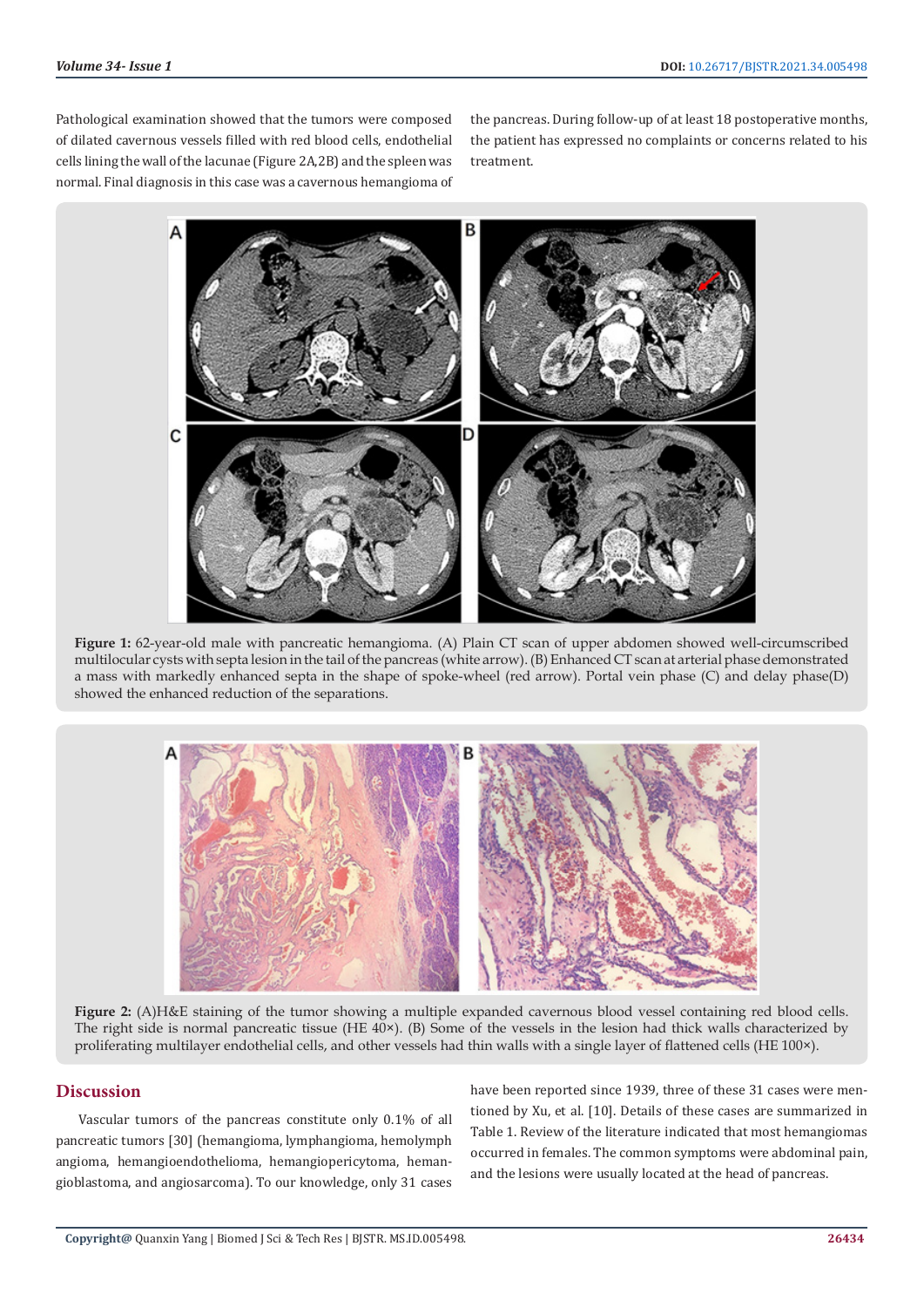Pathological examination showed that the tumors were composed of dilated cavernous vessels filled with red blood cells, endothelial cells lining the wall of the lacunae (Figure 2A,2B) and the spleen was normal. Final diagnosis in this case was a cavernous hemangioma of the pancreas. During follow-up of at least 18 postoperative months, the patient has expressed no complaints or concerns related to his treatment.



**Figure 1:** 62-year-old male with pancreatic hemangioma. (A) Plain CT scan of upper abdomen showed well-circumscribed multilocular cysts with septa lesion in the tail of the pancreas (white arrow). (B) Enhanced CT scan at arterial phase demonstrated a mass with markedly enhanced septa in the shape of spoke-wheel (red arrow). Portal vein phase (C) and delay phase(D) showed the enhanced reduction of the separations.



**Figure 2:** (A)H&E staining of the tumor showing a multiple expanded cavernous blood vessel containing red blood cells. The right side is normal pancreatic tissue (HE 40×). (B) Some of the vessels in the lesion had thick walls characterized by proliferating multilayer endothelial cells, and other vessels had thin walls with a single layer of flattened cells (HE 100×).

# **Discussion**

Vascular tumors of the pancreas constitute only 0.1% of all pancreatic tumors [30] (hemangioma, lymphangioma, hemolymph angioma, hemangioendothelioma, hemangiopericytoma, hemangioblastoma, and angiosarcoma). To our knowledge, only 31 cases

have been reported since 1939, three of these 31 cases were mentioned by Xu, et al. [10]. Details of these cases are summarized in Table 1. Review of the literature indicated that most hemangiomas occurred in females. The common symptoms were abdominal pain, and the lesions were usually located at the head of pancreas.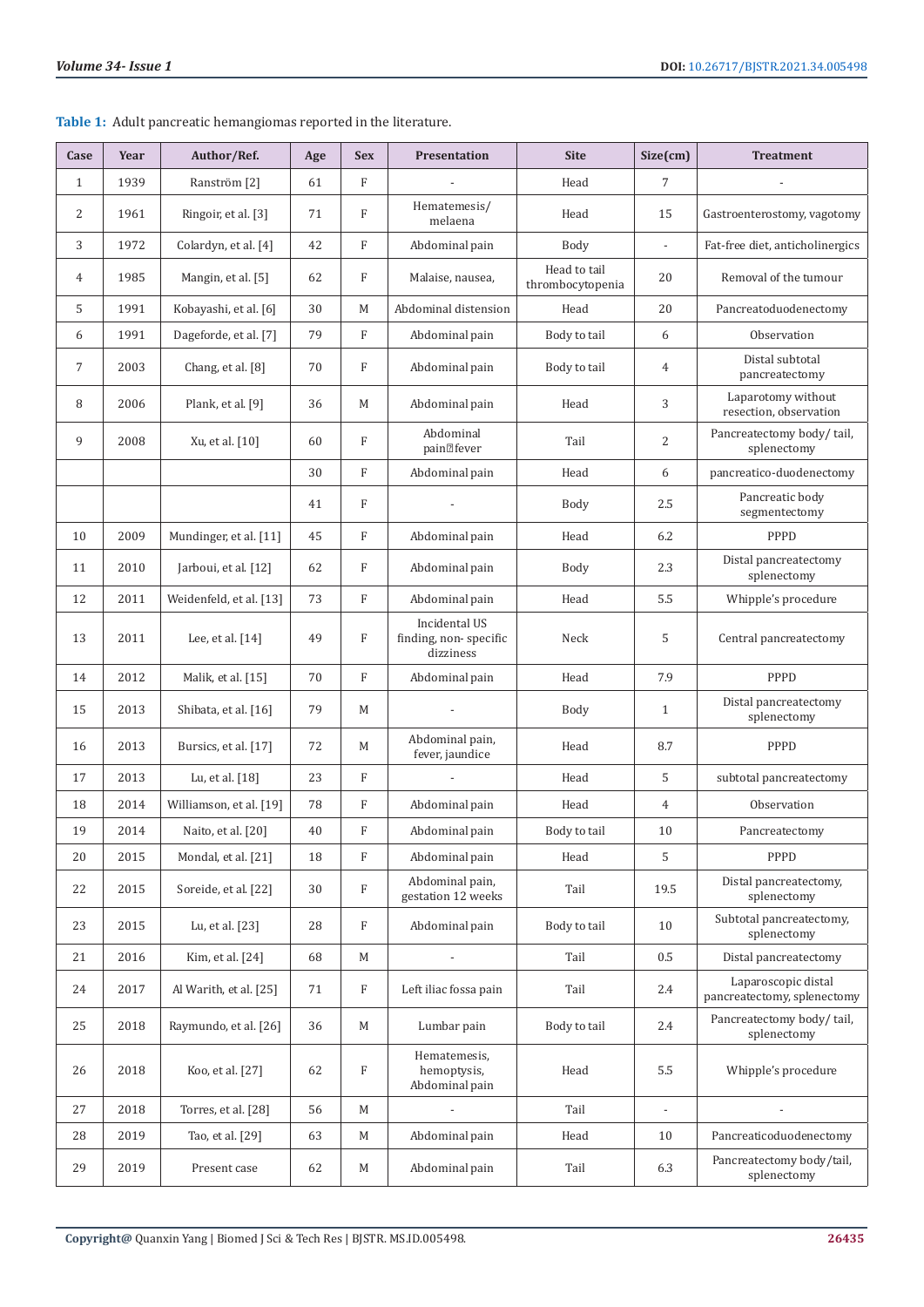| Case           | Year | Author/Ref.             | Age | <b>Sex</b>                | <b>Presentation</b>                                 | <b>Site</b>                      | Size(cm)       | <b>Treatment</b>                                   |
|----------------|------|-------------------------|-----|---------------------------|-----------------------------------------------------|----------------------------------|----------------|----------------------------------------------------|
| $\mathbf{1}$   | 1939 | Ranström <sup>[2]</sup> | 61  | F                         |                                                     | Head                             | 7              |                                                    |
| $\overline{2}$ | 1961 | Ringoir, et al. [3]     | 71  | F                         | Hematemesis/<br>melaena                             | Head                             | 15             | Gastroenterostomy, vagotomy                        |
| 3              | 1972 | Colardyn, et al. [4]    | 42  | F                         | Abdominal pain                                      | Body                             | $\overline{a}$ | Fat-free diet, anticholinergics                    |
| 4              | 1985 | Mangin, et al. [5]      | 62  | F                         | Malaise, nausea,                                    | Head to tail<br>thrombocytopenia | 20             | Removal of the tumour                              |
| 5              | 1991 | Kobayashi, et al. [6]   | 30  | M                         | Abdominal distension                                | Head                             | 20             | Pancreatoduodenectomy                              |
| 6              | 1991 | Dageforde, et al. [7]   | 79  | F                         | Abdominal pain                                      | Body to tail                     | 6              | Observation                                        |
| $\overline{7}$ | 2003 | Chang, et al. [8]       | 70  | F                         | Abdominal pain                                      | Body to tail                     | 4              | Distal subtotal<br>pancreatectomy                  |
| 8              | 2006 | Plank, et al. [9]       | 36  | M                         | Abdominal pain                                      | Head                             | 3              | Laparotomy without<br>resection, observation       |
| 9              | 2008 | Xu, et al. [10]         | 60  | F                         | Abdominal<br>pain <sup>2</sup> fever                | Tail                             | $\overline{c}$ | Pancreatectomy body/tail,<br>splenectomy           |
|                |      |                         | 30  | F                         | Abdominal pain                                      | Head                             | 6              | pancreatico-duodenectomy                           |
|                |      |                         | 41  | F                         |                                                     | Body                             | 2.5            | Pancreatic body<br>segmentectomy                   |
| 10             | 2009 | Mundinger, et al. [11]  | 45  | F                         | Abdominal pain                                      | Head                             | 6.2            | PPPD                                               |
| 11             | 2010 | Jarboui, et al. [12]    | 62  | F                         | Abdominal pain                                      | Body                             | 2.3            | Distal pancreatectomy<br>splenectomy               |
| 12             | 2011 | Weidenfeld, et al. [13] | 73  | F                         | Abdominal pain                                      | Head                             | 5.5            | Whipple's procedure                                |
| 13             | 2011 | Lee, et al. [14]        | 49  | F                         | Incidental US<br>finding, non-specific<br>dizziness | Neck                             | 5              | Central pancreatectomy                             |
| 14             | 2012 | Malik, et al. [15]      | 70  | F                         | Abdominal pain                                      | Head                             | 7.9            | PPPD                                               |
| 15             | 2013 | Shibata, et al. [16]    | 79  | M                         |                                                     | Body                             | $\mathbf{1}$   | Distal pancreatectomy<br>splenectomy               |
| 16             | 2013 | Bursics, et al. [17]    | 72  | M                         | Abdominal pain,<br>fever, jaundice                  | Head                             | 8.7            | PPPD                                               |
| 17             | 2013 | Lu, et al. [18]         | 23  | F                         |                                                     | Head                             | 5              | subtotal pancreatectomy                            |
| 18             | 2014 | Williamson, et al. [19] | 78  | F                         | Abdominal pain                                      | Head                             | $\overline{4}$ | Observation                                        |
| 19             | 2014 | Naito, et al. [20]      | 40  | F                         | Abdominal pain                                      | Body to tail                     | 10             | Pancreatectomy                                     |
| 20             | 2015 | Mondal, et al. [21]     | 18  | $\boldsymbol{\mathrm{F}}$ | Abdominal pain                                      | Head                             | 5              | PPPD                                               |
| 22             | 2015 | Soreide, et al. [22]    | 30  | F                         | Abdominal pain,<br>gestation 12 weeks               | Tail                             | 19.5           | Distal pancreatectomy,<br>splenectomy              |
| 23             | 2015 | Lu, et al. [23]         | 28  | F                         | Abdominal pain                                      | Body to tail                     | 10             | Subtotal pancreatectomy,<br>splenectomy            |
| 21             | 2016 | Kim, et al. [24]        | 68  | $\mathbf M$               |                                                     | Tail                             | 0.5            | Distal pancreatectomy                              |
| 24             | 2017 | Al Warith, et al. [25]  | 71  | F                         | Left iliac fossa pain                               | Tail                             | 2.4            | Laparoscopic distal<br>pancreatectomy, splenectomy |
| 25             | 2018 | Raymundo, et al. [26]   | 36  | M                         | Lumbar pain                                         | Body to tail                     | 2.4            | Pancreatectomy body/tail,<br>splenectomy           |
| 26             | 2018 | Koo, et al. [27]        | 62  | F                         | Hematemesis,<br>hemoptysis,<br>Abdominal pain       | Head                             | 5.5            | Whipple's procedure                                |
| 27             | 2018 | Torres, et al. [28]     | 56  | $\mathbf M$               |                                                     | Tail                             | ÷,             |                                                    |
| 28             | 2019 | Tao, et al. [29]        | 63  | $\mathbf M$               | Abdominal pain                                      | Head                             | 10             | Pancreaticoduodenectomy                            |
| 29             | 2019 | Present case            | 62  | M                         | Abdominal pain                                      | Tail                             | 6.3            | Pancreatectomy body/tail,<br>splenectomy           |

**Table 1:** Adult pancreatic hemangiomas reported in the literature.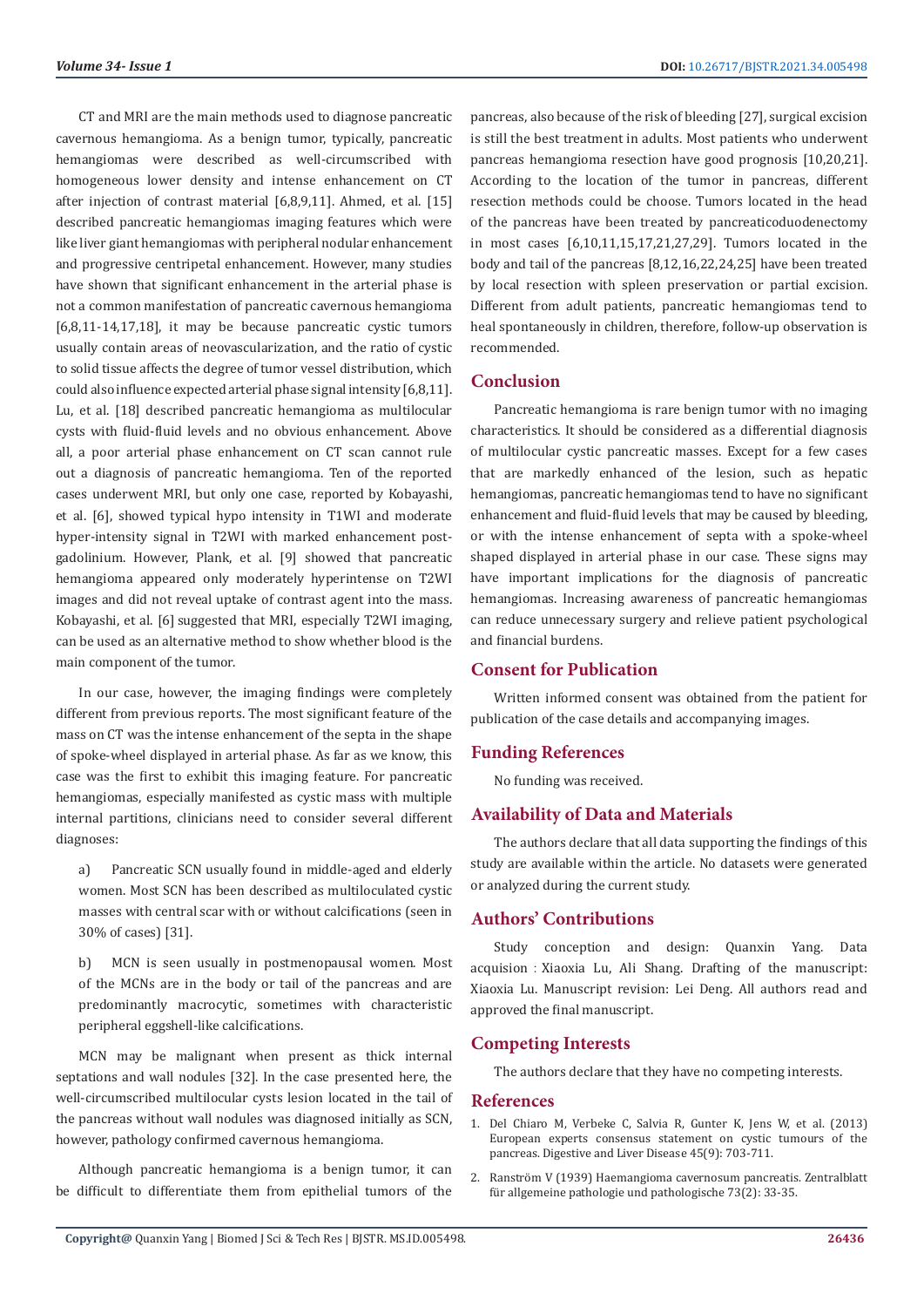CT and MRI are the main methods used to diagnose pancreatic cavernous hemangioma. As a benign tumor, typically, pancreatic hemangiomas were described as well-circumscribed with homogeneous lower density and intense enhancement on CT after injection of contrast material [6,8,9,11]. Ahmed, et al. [15] described pancreatic hemangiomas imaging features which were like liver giant hemangiomas with peripheral nodular enhancement and progressive centripetal enhancement. However, many studies have shown that significant enhancement in the arterial phase is not a common manifestation of pancreatic cavernous hemangioma [6,8,11-14,17,18], it may be because pancreatic cystic tumors usually contain areas of neovascularization, and the ratio of cystic to solid tissue affects the degree of tumor vessel distribution, which could also influence expected arterial phase signal intensity [6,8,11]. Lu, et al. [18] described pancreatic hemangioma as multilocular cysts with fluid-fluid levels and no obvious enhancement. Above all, a poor arterial phase enhancement on CT scan cannot rule out a diagnosis of pancreatic hemangioma. Ten of the reported cases underwent MRI, but only one case, reported by Kobayashi, et al. [6], showed typical hypo intensity in T1WI and moderate hyper-intensity signal in T2WI with marked enhancement postgadolinium. However, Plank, et al. [9] showed that pancreatic hemangioma appeared only moderately hyperintense on T2WI images and did not reveal uptake of contrast agent into the mass. Kobayashi, et al. [6] suggested that MRI, especially T2WI imaging, can be used as an alternative method to show whether blood is the main component of the tumor.

In our case, however, the imaging findings were completely different from previous reports. The most significant feature of the mass on CT was the intense enhancement of the septa in the shape of spoke-wheel displayed in arterial phase. As far as we know, this case was the first to exhibit this imaging feature. For pancreatic hemangiomas, especially manifested as cystic mass with multiple internal partitions, clinicians need to consider several different diagnoses:

a) Pancreatic SCN usually found in middle-aged and elderly women. Most SCN has been described as multiloculated cystic masses with central scar with or without calcifications (seen in 30% of cases) [31].

b) MCN is seen usually in postmenopausal women. Most of the MCNs are in the body or tail of the pancreas and are predominantly macrocytic, sometimes with characteristic peripheral eggshell-like calcifications.

MCN may be malignant when present as thick internal septations and wall nodules [32]. In the case presented here, the well-circumscribed multilocular cysts lesion located in the tail of the pancreas without wall nodules was diagnosed initially as SCN, however, pathology confirmed cavernous hemangioma.

Although pancreatic hemangioma is a benign tumor, it can be difficult to differentiate them from epithelial tumors of the pancreas, also because of the risk of bleeding [27], surgical excision is still the best treatment in adults. Most patients who underwent pancreas hemangioma resection have good prognosis [10,20,21]. According to the location of the tumor in pancreas, different resection methods could be choose. Tumors located in the head of the pancreas have been treated by pancreaticoduodenectomy in most cases [6,10,11,15,17,21,27,29]. Tumors located in the body and tail of the pancreas [8,12,16,22,24,25] have been treated by local resection with spleen preservation or partial excision. Different from adult patients, pancreatic hemangiomas tend to heal spontaneously in children, therefore, follow-up observation is recommended.

#### **Conclusion**

Pancreatic hemangioma is rare benign tumor with no imaging characteristics. It should be considered as a differential diagnosis of multilocular cystic pancreatic masses. Except for a few cases that are markedly enhanced of the lesion, such as hepatic hemangiomas, pancreatic hemangiomas tend to have no significant enhancement and fluid-fluid levels that may be caused by bleeding, or with the intense enhancement of septa with a spoke-wheel shaped displayed in arterial phase in our case. These signs may have important implications for the diagnosis of pancreatic hemangiomas. Increasing awareness of pancreatic hemangiomas can reduce unnecessary surgery and relieve patient psychological and financial burdens.

## **Consent for Publication**

Written informed consent was obtained from the patient for publication of the case details and accompanying images.

#### **Funding References**

No funding was received.

#### **Availability of Data and Materials**

The authors declare that all data supporting the findings of this study are available within the article. No datasets were generated or analyzed during the current study.

## **Authors' Contributions**

Study conception and design: Quanxin Yang. Data acquision: Xiaoxia Lu, Ali Shang. Drafting of the manuscript: Xiaoxia Lu. Manuscript revision: Lei Deng. All authors read and approved the final manuscript.

#### **Competing Interests**

The authors declare that they have no competing interests.

#### **References**

- 1. [Del Chiaro M, Verbeke C, Salvia R, Gunter K, Jens W, et al. \(2013\)](https://www.sciencedirect.com/science/article/abs/pii/S1590865813000121) [European experts consensus statement on cystic tumours of the](https://www.sciencedirect.com/science/article/abs/pii/S1590865813000121) [pancreas. Digestive and Liver Disease 45\(9\): 703-711.](https://www.sciencedirect.com/science/article/abs/pii/S1590865813000121)
- 2. Ranström V (1939) Haemangioma cavernosum pancreatis. Zentralblatt für allgemeine pathologie und pathologische 73(2): 33-35.